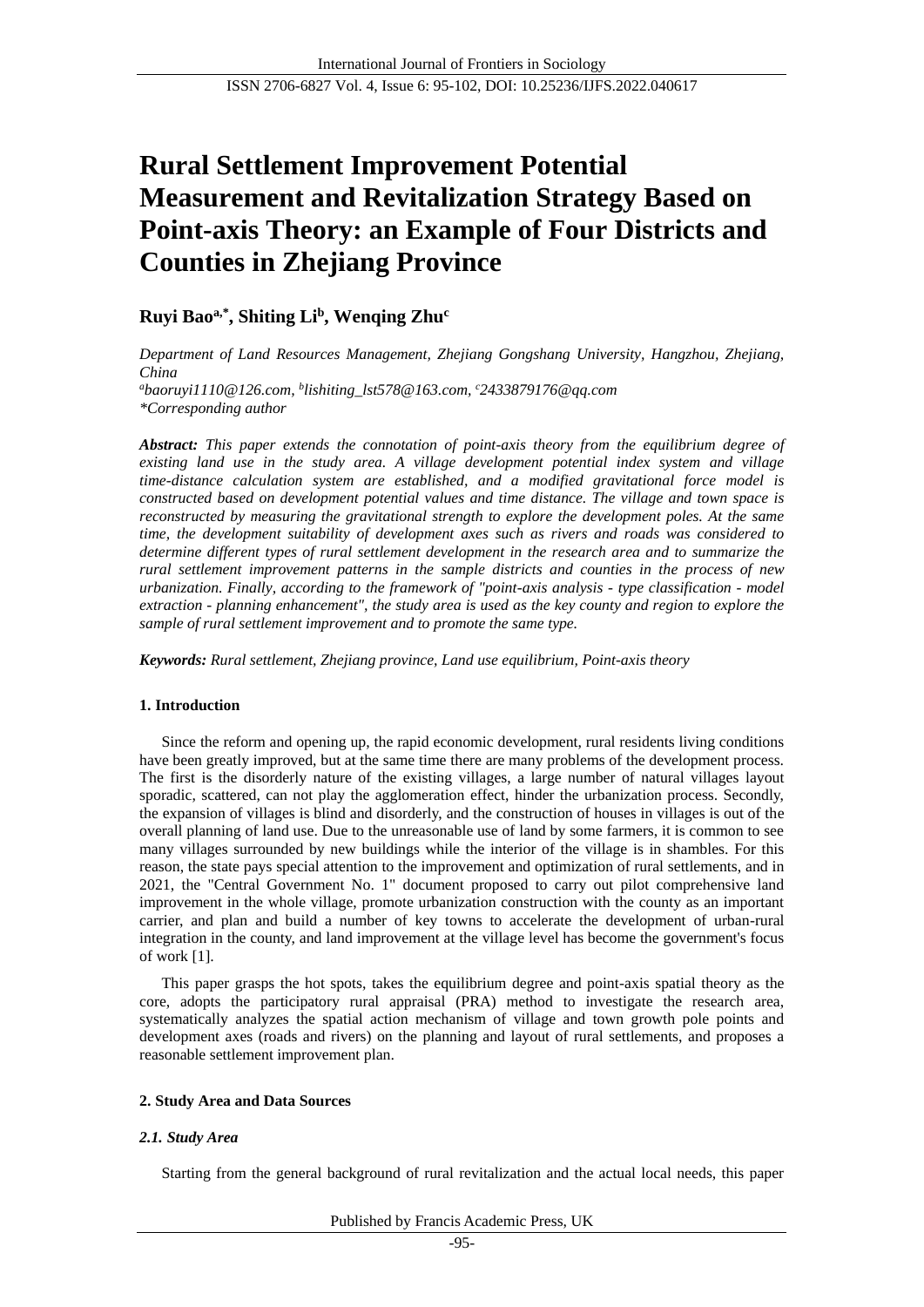# **Rural Settlement Improvement Potential Measurement and Revitalization Strategy Based on Point-axis Theory: an Example of Four Districts and Counties in Zhejiang Province**

# **Ruyi Baoa,\* , Shiting Li<sup>b</sup> , Wenqing Zhu<sup>c</sup>**

*Department of Land Resources Management, Zhejiang Gongshang University, Hangzhou, Zhejiang, China <sup>a</sup>baoruyi1110@126.com, <sup>b</sup> [lishiting\\_lst578@163.com,](mailto:lishiting_lst578@163.com，) <sup>c</sup>2433879176@qq.com \*Corresponding author*

*Abstract: This paper extends the connotation of point-axis theory from the equilibrium degree of existing land use in the study area. A village development potential index system and village time-distance calculation system are established, and a modified gravitational force model is constructed based on development potential values and time distance. The village and town space is reconstructed by measuring the gravitational strength to explore the development poles. At the same time, the development suitability of development axes such as rivers and roads was considered to determine different types of rural settlement development in the research area and to summarize the rural settlement improvement patterns in the sample districts and counties in the process of new urbanization. Finally, according to the framework of "point-axis analysis - type classification - model extraction - planning enhancement", the study area is used as the key county and region to explore the sample of rural settlement improvement and to promote the same type.*

*Keywords: Rural settlement, Zhejiang province, Land use equilibrium, Point-axis theory*

# **1. Introduction**

Since the reform and opening up, the rapid economic development, rural residents living conditions have been greatly improved, but at the same time there are many problems of the development process. The first is the disorderly nature of the existing villages, a large number of natural villages layout sporadic, scattered, can not play the agglomeration effect, hinder the urbanization process. Secondly, the expansion of villages is blind and disorderly, and the construction of houses in villages is out of the overall planning of land use. Due to the unreasonable use of land by some farmers, it is common to see many villages surrounded by new buildings while the interior of the village is in shambles. For this reason, the state pays special attention to the improvement and optimization of rural settlements, and in 2021, the "Central Government No. 1" document proposed to carry out pilot comprehensive land improvement in the whole village, promote urbanization construction with the county as an important carrier, and plan and build a number of key towns to accelerate the development of urban-rural integration in the county, and land improvement at the village level has become the government's focus of wor[k \[1\].](#page-7-0)

This paper grasps the hot spots, takes the equilibrium degree and point-axis spatial theory as the core, adopts the participatory rural appraisal (PRA) method to investigate the research area, systematically analyzes the spatial action mechanism of village and town growth pole points and development axes (roads and rivers) on the planning and layout of rural settlements, and proposes a reasonable settlement improvement plan.

# **2. Study Area and Data Sources**

# *2.1. Study Area*

Starting from the general background of rural revitalization and the actual local needs, this paper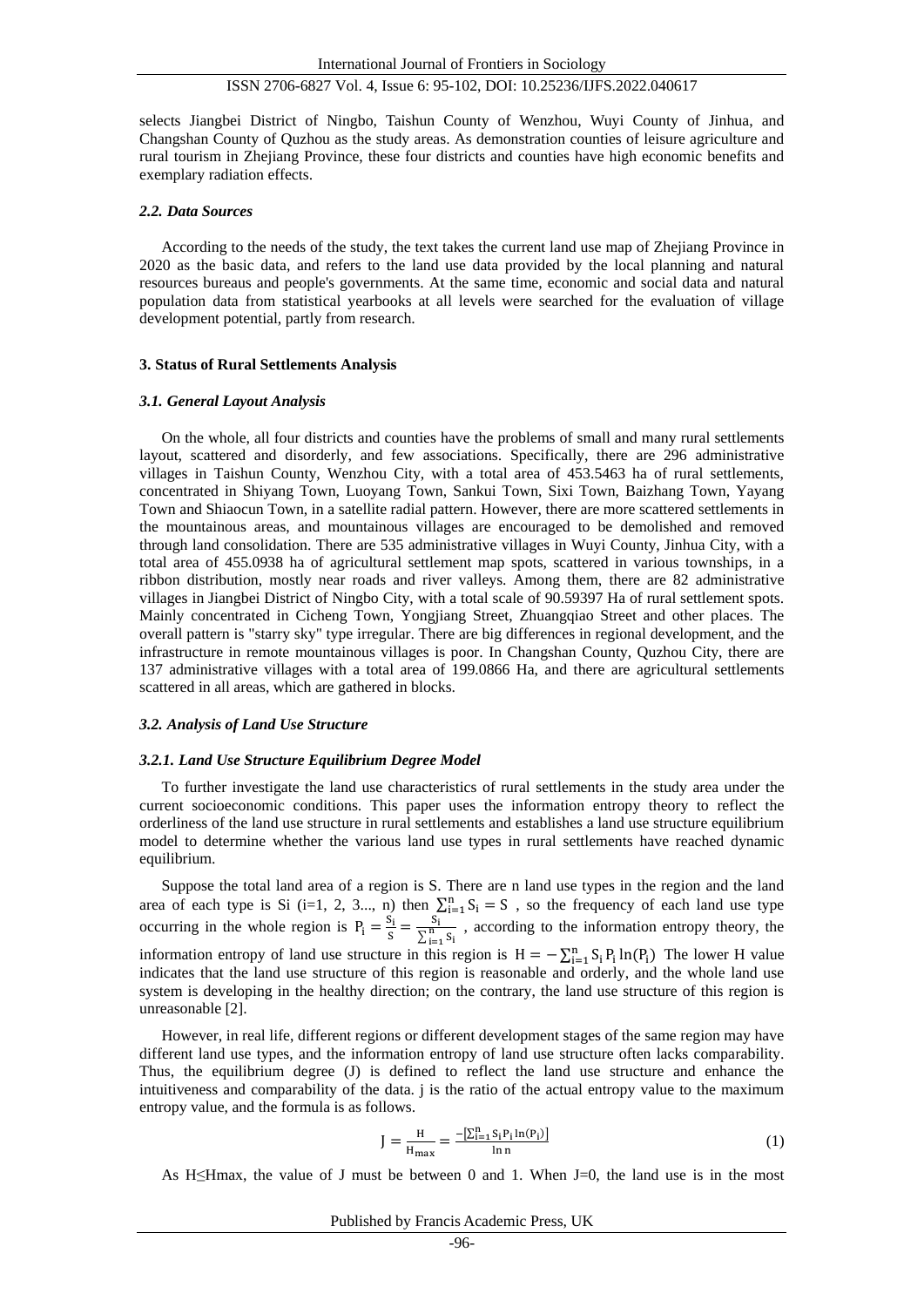selects Jiangbei District of Ningbo, Taishun County of Wenzhou, Wuyi County of Jinhua, and Changshan County of Quzhou as the study areas. As demonstration counties of leisure agriculture and rural tourism in Zhejiang Province, these four districts and counties have high economic benefits and exemplary radiation effects.

#### *2.2. Data Sources*

According to the needs of the study, the text takes the current land use map of Zhejiang Province in 2020 as the basic data, and refers to the land use data provided by the local planning and natural resources bureaus and people's governments. At the same time, economic and social data and natural population data from statistical yearbooks at all levels were searched for the evaluation of village development potential, partly from research.

#### **3. Status of Rural Settlements Analysis**

#### *3.1. General Layout Analysis*

On the whole, all four districts and counties have the problems of small and many rural settlements layout, scattered and disorderly, and few associations. Specifically, there are 296 administrative villages in Taishun County, Wenzhou City, with a total area of 453.5463 ha of rural settlements, concentrated in Shiyang Town, Luoyang Town, Sankui Town, Sixi Town, Baizhang Town, Yayang Town and Shiaocun Town, in a satellite radial pattern. However, there are more scattered settlements in the mountainous areas, and mountainous villages are encouraged to be demolished and removed through land consolidation. There are 535 administrative villages in Wuyi County, Jinhua City, with a total area of 455.0938 ha of agricultural settlement map spots, scattered in various townships, in a ribbon distribution, mostly near roads and river valleys. Among them, there are 82 administrative villages in Jiangbei District of Ningbo City, with a total scale of 90.59397 Ha of rural settlement spots. Mainly concentrated in Cicheng Town, Yongjiang Street, Zhuangqiao Street and other places. The overall pattern is "starry sky" type irregular. There are big differences in regional development, and the infrastructure in remote mountainous villages is poor. In Changshan County, Quzhou City, there are 137 administrative villages with a total area of 199.0866 Ha, and there are agricultural settlements scattered in all areas, which are gathered in blocks.

#### *3.2. Analysis of Land Use Structure*

#### *3.2.1. Land Use Structure Equilibrium Degree Model*

To further investigate the land use characteristics of rural settlements in the study area under the current socioeconomic conditions. This paper uses the information entropy theory to reflect the orderliness of the land use structure in rural settlements and establishes a land use structure equilibrium model to determine whether the various land use types in rural settlements have reached dynamic equilibrium.

Suppose the total land area of a region is S. There are n land use types in the region and the land area of each type is Si (i=1, 2, 3..., n) then  $\sum_{i=1}^{n} S_i = S$ , so the frequency of each land use type occurring in the whole region is  $P_i = \frac{S_i}{S}$  $\frac{S_i}{S} = \frac{S_i}{\sum_{i=1}^n}$  $\sum_{i=1}^{n} S_i$ , according to the information entropy theory, the information entropy of land use structure in this region is  $H = -\sum_{i=1}^{n} S_i P_i \ln(P_i)$  The lower H value indicates that the land use structure of this region is reasonable and orderly, and the whole land use system is developing in the healthy direction; on the contrary, the land use structure of this region is unreasonable [\[2\].](#page-7-1)

However, in real life, different regions or different development stages of the same region may have different land use types, and the information entropy of land use structure often lacks comparability. Thus, the equilibrium degree (J) is defined to reflect the land use structure and enhance the intuitiveness and comparability of the data. j is the ratio of the actual entropy value to the maximum entropy value, and the formula is as follows.

$$
J = \frac{H}{H_{\text{max}}} = \frac{-[\sum_{i=1}^{n} S_i P_i \ln(P_i)]}{\ln n}
$$
(1)

As H $\leq$ Hmax, the value of J must be between 0 and 1. When J=0, the land use is in the most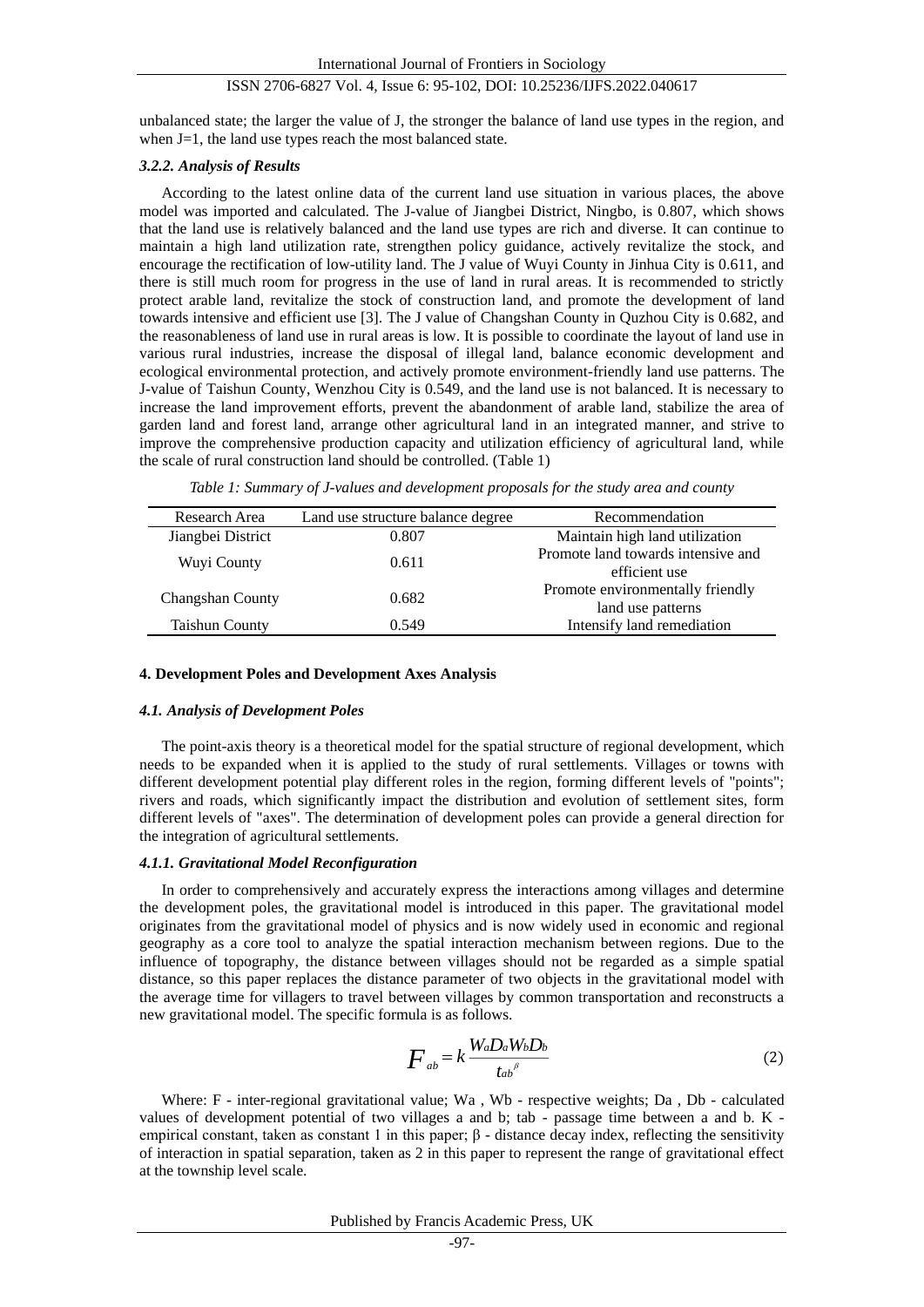unbalanced state; the larger the value of J, the stronger the balance of land use types in the region, and when J=1, the land use types reach the most balanced state.

# *3.2.2. Analysis of Results*

According to the latest online data of the current land use situation in various places, the above model was imported and calculated. The J-value of Jiangbei District, Ningbo, is 0.807, which shows that the land use is relatively balanced and the land use types are rich and diverse. It can continue to maintain a high land utilization rate, strengthen policy guidance, actively revitalize the stock, and encourage the rectification of low-utility land. The J value of Wuyi County in Jinhua City is 0.611, and there is still much room for progress in the use of land in rural areas. It is recommended to strictly protect arable land, revitalize the stock of construction land, and promote the development of land towards intensive and efficient use [\[3\].](#page-7-2) The J value of Changshan County in Quzhou City is 0.682, and the reasonableness of land use in rural areas is low. It is possible to coordinate the layout of land use in various rural industries, increase the disposal of illegal land, balance economic development and ecological environmental protection, and actively promote environment-friendly land use patterns. The J-value of Taishun County, Wenzhou City is 0.549, and the land use is not balanced. It is necessary to increase the land improvement efforts, prevent the abandonment of arable land, stabilize the area of garden land and forest land, arrange other agricultural land in an integrated manner, and strive to improve the comprehensive production capacity and utilization efficiency of agricultural land, while the scale of rural construction land should be controlled. (Table 1)

| Research Area         | Land use structure balance degree | Recommendation                                        |
|-----------------------|-----------------------------------|-------------------------------------------------------|
| Jiangbei District     | 0.807                             | Maintain high land utilization                        |
| Wuyi County           | 0.611                             | Promote land towards intensive and<br>efficient use   |
| Changshan County      | 0.682                             | Promote environmentally friendly<br>land use patterns |
| <b>Taishun County</b> | 0.549                             | Intensify land remediation                            |

*Table 1: Summary of J-values and development proposals for the study area and county*

#### **4. Development Poles and Development Axes Analysis**

### *4.1. Analysis of Development Poles*

The point-axis theory is a theoretical model for the spatial structure of regional development, which needs to be expanded when it is applied to the study of rural settlements. Villages or towns with different development potential play different roles in the region, forming different levels of "points"; rivers and roads, which significantly impact the distribution and evolution of settlement sites, form different levels of "axes". The determination of development poles can provide a general direction for the integration of agricultural settlements.

#### *4.1.1. Gravitational Model Reconfiguration*

In order to comprehensively and accurately express the interactions among villages and determine the development poles, the gravitational model is introduced in this paper. The gravitational model originates from the gravitational model of physics and is now widely used in economic and regional geography as a core tool to analyze the spatial interaction mechanism between regions. Due to the influence of topography, the distance between villages should not be regarded as a simple spatial distance, so this paper replaces the distance parameter of two objects in the gravitational model with the average time for villagers to travel between villages by common transportation and reconstructs a new gravitational model. The specific formula is as follows.

$$
F_{ab} = k \frac{W_a D_a W_b D_b}{t_{ab}^{\beta}}
$$
 (2)

Where: F - inter-regional gravitational value; Wa, Wb - respective weights; Da, Db - calculated values of development potential of two villages a and b; tab - passage time between a and b. K empirical constant, taken as constant 1 in this paper; β - distance decay index, reflecting the sensitivity of interaction in spatial separation, taken as 2 in this paper to represent the range of gravitational effect at the township level scale.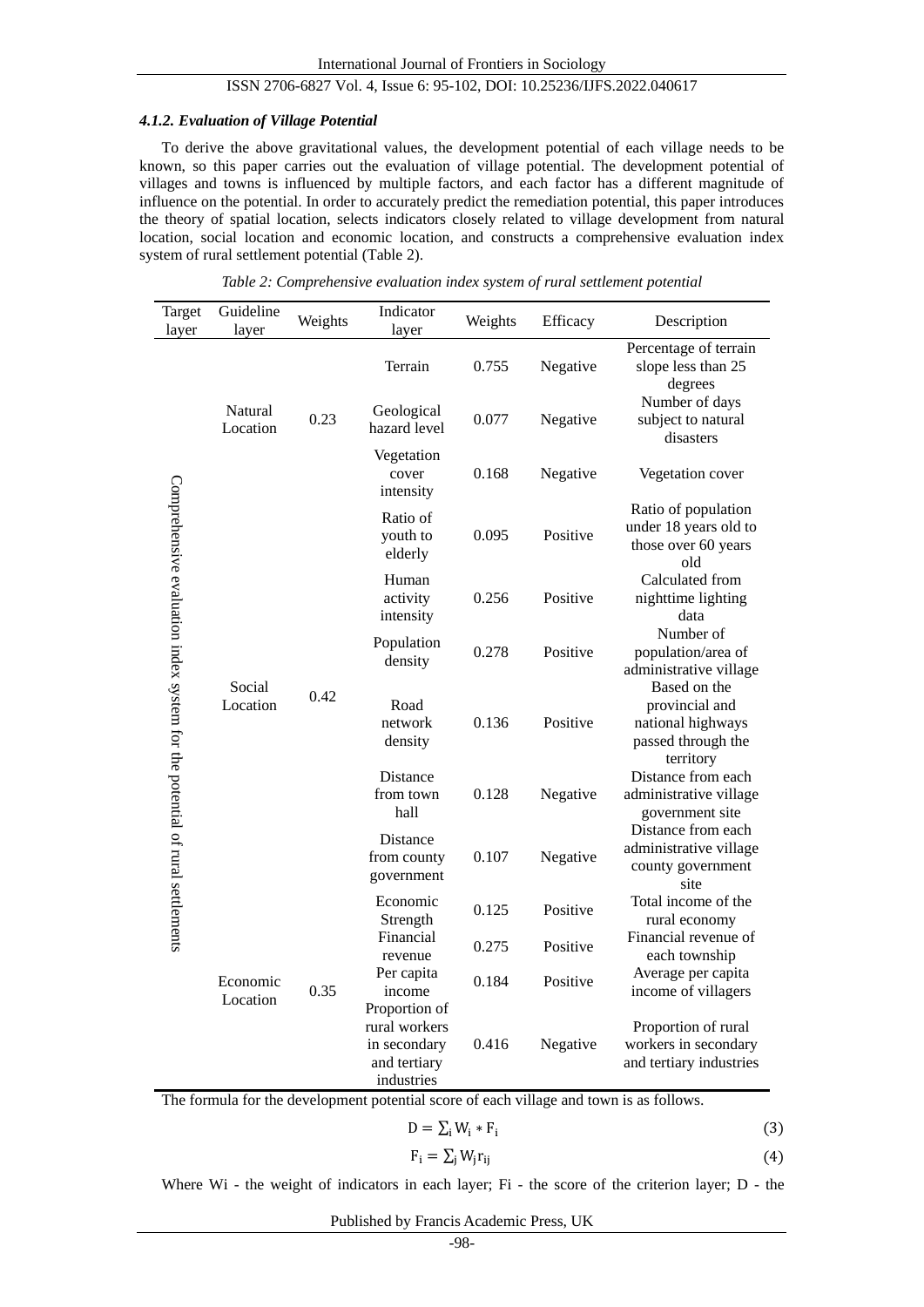#### *4.1.2. Evaluation of Village Potential*

To derive the above gravitational values, the development potential of each village needs to be known, so this paper carries out the evaluation of village potential. The development potential of villages and towns is influenced by multiple factors, and each factor has a different magnitude of influence on the potential. In order to accurately predict the remediation potential, this paper introduces the theory of spatial location, selects indicators closely related to village development from natural location, social location and economic location, and constructs a comprehensive evaluation index system of rural settlement potential (Table 2).

| Target<br>layer                                                              | Guideline<br>layer   | Weights | Indicator<br>layer                                                           | Weights | Efficacy | Description                                                                            |
|------------------------------------------------------------------------------|----------------------|---------|------------------------------------------------------------------------------|---------|----------|----------------------------------------------------------------------------------------|
|                                                                              |                      |         | Terrain                                                                      | 0.755   | Negative | Percentage of terrain<br>slope less than 25<br>degrees                                 |
|                                                                              | Natural<br>Location  | 0.23    | Geological<br>hazard level                                                   | 0.077   | Negative | Number of days<br>subject to natural<br>disasters                                      |
|                                                                              |                      |         | Vegetation<br>cover<br>intensity                                             | 0.168   | Negative | Vegetation cover                                                                       |
|                                                                              |                      |         | Ratio of<br>youth to<br>elderly                                              | 0.095   | Positive | Ratio of population<br>under 18 years old to<br>those over 60 years<br>old             |
|                                                                              |                      |         | Human<br>activity<br>intensity                                               | 0.256   | Positive | Calculated from<br>nighttime lighting<br>data                                          |
|                                                                              |                      |         | Population<br>density                                                        | 0.278   | Positive | Number of<br>population/area of<br>administrative village                              |
|                                                                              | Social<br>Location   | 0.42    | Road<br>network<br>density                                                   | 0.136   | Positive | Based on the<br>provincial and<br>national highways<br>passed through the<br>territory |
| Comprehensive evaluation index system for the potential of rural settlements |                      |         | Distance<br>from town<br>hall                                                | 0.128   | Negative | Distance from each<br>administrative village<br>government site                        |
|                                                                              |                      |         | Distance<br>from county<br>government                                        | 0.107   | Negative | Distance from each<br>administrative village<br>county government<br>site              |
|                                                                              | Economic<br>Location | 0.35    | Economic<br>Strength                                                         | 0.125   | Positive | Total income of the<br>rural economy                                                   |
|                                                                              |                      |         | Financial<br>revenue                                                         | 0.275   | Positive | Financial revenue of<br>each township                                                  |
|                                                                              |                      |         | Per capita<br>income                                                         | 0.184   | Positive | Average per capita<br>income of villagers                                              |
|                                                                              |                      |         | Proportion of<br>rural workers<br>in secondary<br>and tertiary<br>industries | 0.416   | Negative | Proportion of rural<br>workers in secondary<br>and tertiary industries                 |

*Table 2: Comprehensive evaluation index system of rural settlement potential*

The formula for the development potential score of each village and town is as follows.

$$
D = \sum_{i} W_i * F_i \tag{3}
$$

$$
F_i = \sum_j W_j r_{ij} \tag{4}
$$

Where Wi - the weight of indicators in each layer; Fi - the score of the criterion layer; D - the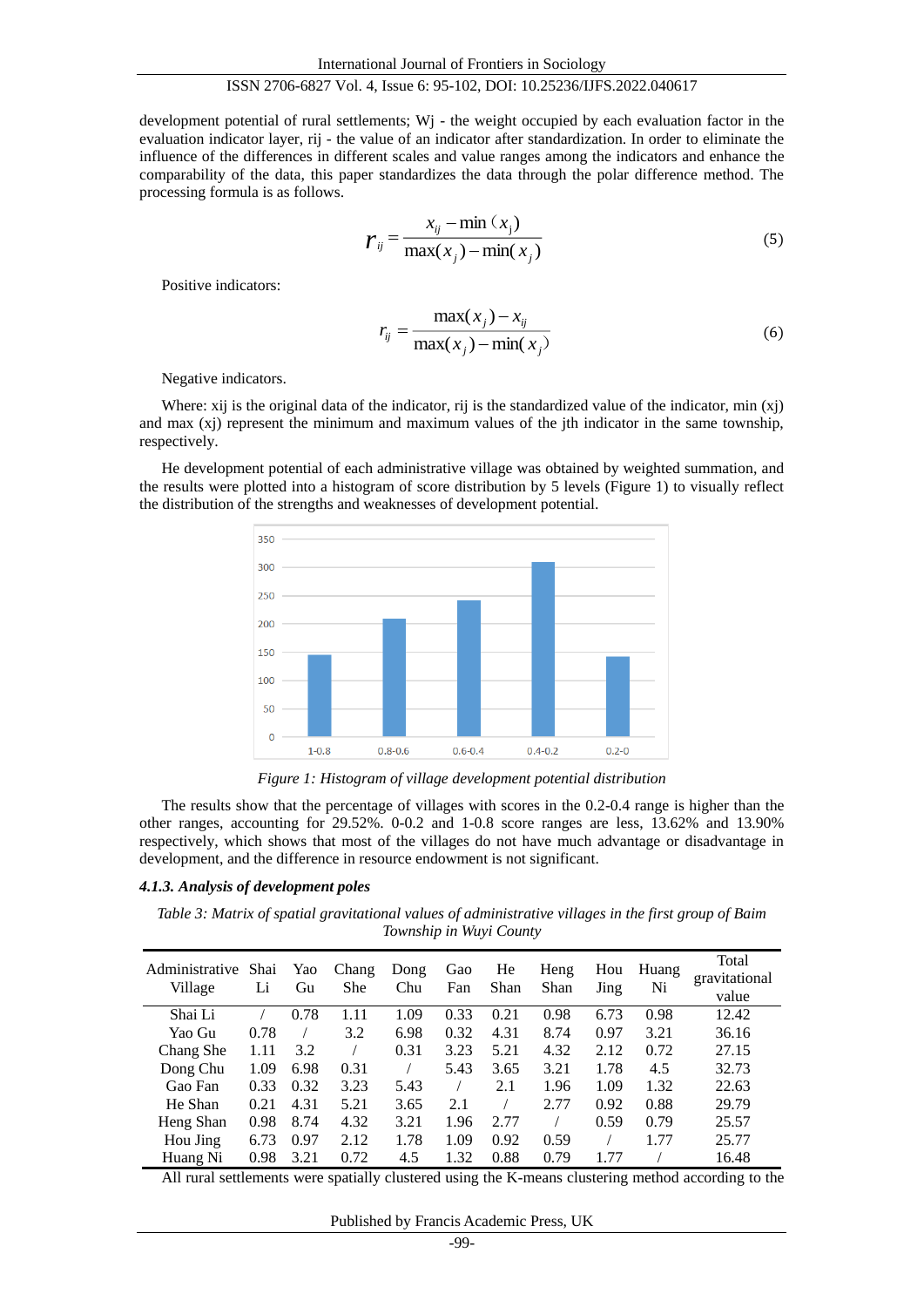development potential of rural settlements; W<sub>j</sub> - the weight occupied by each evaluation factor in the evaluation indicator layer, rij - the value of an indicator after standardization. In order to eliminate the influence of the differences in different scales and value ranges among the indicators and enhance the comparability of the data, this paper standardizes the data through the polar difference method. The processing formula is as follows.

$$
r_{ij} = \frac{x_{ij} - \min(x_i)}{\max(x_j) - \min(x_j)}
$$
(5)

Positive indicators:

$$
r_{ij} = \frac{\max(x_j) - x_{ij}}{\max(x_j) - \min(x_j)}
$$
(6)

Negative indicators.

Where: xij is the original data of the indicator, rij is the standardized value of the indicator, min (xj) and max  $(x<sub>i</sub>)$  represent the minimum and maximum values of the jth indicator in the same township, respectively.

He development potential of each administrative village was obtained by weighted summation, and the results were plotted into a histogram of score distribution by 5 levels (Figure 1) to visually reflect the distribution of the strengths and weaknesses of development potential.



*Figure 1: Histogram of village development potential distribution*

The results show that the percentage of villages with scores in the 0.2-0.4 range is higher than the other ranges, accounting for 29.52%. 0-0.2 and 1-0.8 score ranges are less, 13.62% and 13.90% respectively, which shows that most of the villages do not have much advantage or disadvantage in development, and the difference in resource endowment is not significant.

#### *4.1.3. Analysis of development poles*

*Table 3: Matrix of spatial gravitational values of administrative villages in the first group of Baim Township in Wuyi County*

| Administrative<br>Village | Shai<br>Li | Yao<br>Gu | Chang<br>She | Dong<br>Chu | Gao<br>Fan | He<br>Shan | Heng<br>Shan | Hou<br>Jing | Huang<br>Ni | Total<br>gravitational<br>value |
|---------------------------|------------|-----------|--------------|-------------|------------|------------|--------------|-------------|-------------|---------------------------------|
| Shai Li                   |            | 0.78      | 1.11         | 1.09        | 0.33       | 0.21       | 0.98         | 6.73        | 0.98        | 12.42                           |
| Yao Gu                    | 0.78       |           | 3.2          | 6.98        | 0.32       | 4.31       | 8.74         | 0.97        | 3.21        | 36.16                           |
| Chang She                 | 1.11       | 3.2       |              | 0.31        | 3.23       | 5.21       | 4.32         | 2.12        | 0.72        | 27.15                           |
| Dong Chu                  | 1.09       | 6.98      | 0.31         |             | 5.43       | 3.65       | 3.21         | 1.78        | 4.5         | 32.73                           |
| Gao Fan                   | 0.33       | 0.32      | 3.23         | 5.43        |            | 2.1        | 1.96         | 1.09        | 1.32        | 22.63                           |
| He Shan                   | 0.21       | 4.31      | 5.21         | 3.65        | 2.1        |            | 2.77         | 0.92        | 0.88        | 29.79                           |
| Heng Shan                 | 0.98       | 8.74      | 4.32         | 3.21        | 1.96       | 2.77       |              | 0.59        | 0.79        | 25.57                           |
| Hou Jing                  | 6.73       | 0.97      | 2.12         | 1.78        | 1.09       | 0.92       | 0.59         |             | 1.77        | 25.77                           |
| Huang Ni                  | 0.98       | 3.21      | 0.72         | 4.5         | 1.32       | 0.88       | 0.79         | 1.77        |             | 16.48                           |

All rural settlements were spatially clustered using the K-means clustering method according to the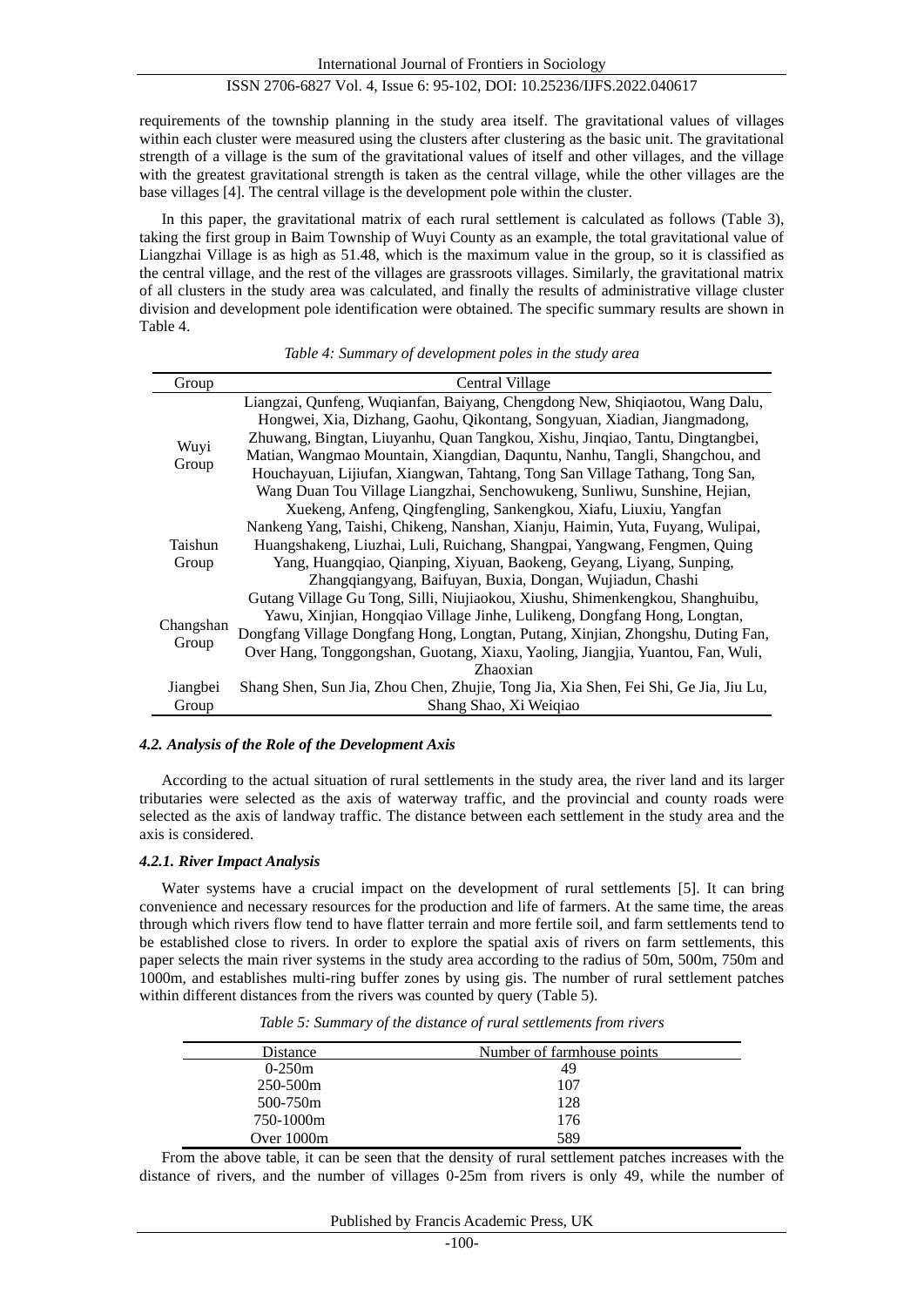International Journal of Frontiers in Sociology

# ISSN 2706-6827 Vol. 4, Issue 6: 95-102, DOI: 10.25236/IJFS.2022.040617

requirements of the township planning in the study area itself. The gravitational values of villages within each cluster were measured using the clusters after clustering as the basic unit. The gravitational strength of a village is the sum of the gravitational values of itself and other villages, and the village with the greatest gravitational strength is taken as the central village, while the other villages are the base village[s \[4\].](#page-7-3) The central village is the development pole within the cluster.

In this paper, the gravitational matrix of each rural settlement is calculated as follows (Table 3), taking the first group in Baim Township of Wuyi County as an example, the total gravitational value of Liangzhai Village is as high as 51.48, which is the maximum value in the group, so it is classified as the central village, and the rest of the villages are grassroots villages. Similarly, the gravitational matrix of all clusters in the study area was calculated, and finally the results of administrative village cluster division and development pole identification were obtained. The specific summary results are shown in Table 4.

| Group     | Central Village                                                                      |
|-----------|--------------------------------------------------------------------------------------|
| Wuyi      | Liangzai, Qunfeng, Wuqianfan, Baiyang, Chengdong New, Shiqiaotou, Wang Dalu,         |
|           | Hongwei, Xia, Dizhang, Gaohu, Qikontang, Songyuan, Xiadian, Jiangmadong,             |
|           | Zhuwang, Bingtan, Liuyanhu, Quan Tangkou, Xishu, Jinqiao, Tantu, Dingtangbei,        |
|           | Matian, Wangmao Mountain, Xiangdian, Daquntu, Nanhu, Tangli, Shangchou, and          |
| Group     | Houchayuan, Lijiufan, Xiangwan, Tahtang, Tong San Village Tathang, Tong San,         |
|           | Wang Duan Tou Village Liangzhai, Senchowukeng, Sunliwu, Sunshine, Hejian,            |
|           | Xuekeng, Anfeng, Qingfengling, Sankengkou, Xiafu, Liuxiu, Yangfan                    |
|           | Nankeng Yang, Taishi, Chikeng, Nanshan, Xianju, Haimin, Yuta, Fuyang, Wulipai,       |
| Taishun   | Huangshakeng, Liuzhai, Luli, Ruichang, Shangpai, Yangwang, Fengmen, Quing            |
| Group     | Yang, Huangqiao, Qianping, Xiyuan, Baokeng, Geyang, Liyang, Sunping,                 |
|           | Zhangqiangyang, Baifuyan, Buxia, Dongan, Wujiadun, Chashi                            |
|           | Gutang Village Gu Tong, Silli, Niujiaokou, Xiushu, Shimenkengkou, Shanghuibu,        |
|           | Yawu, Xinjian, Hongqiao Village Jinhe, Lulikeng, Dongfang Hong, Longtan,             |
| Changshan | Dongfang Village Dongfang Hong, Longtan, Putang, Xinjian, Zhongshu, Duting Fan,      |
| Group     | Over Hang, Tonggongshan, Guotang, Xiaxu, Yaoling, Jiangjia, Yuantou, Fan, Wuli,      |
|           | Zhaoxian                                                                             |
| Jiangbei  | Shang Shen, Sun Jia, Zhou Chen, Zhujie, Tong Jia, Xia Shen, Fei Shi, Ge Jia, Jiu Lu, |
| Group     | Shang Shao, Xi Weiqiao                                                               |

# *Table 4: Summary of development poles in the study area*

#### *4.2. Analysis of the Role of the Development Axis*

According to the actual situation of rural settlements in the study area, the river land and its larger tributaries were selected as the axis of waterway traffic, and the provincial and county roads were selected as the axis of landway traffic. The distance between each settlement in the study area and the axis is considered.

#### *4.2.1. River Impact Analysis*

Water systems have a crucial impact on the development of rural settlements [\[5\].](#page-7-4) It can bring convenience and necessary resources for the production and life of farmers. At the same time, the areas through which rivers flow tend to have flatter terrain and more fertile soil, and farm settlements tend to be established close to rivers. In order to explore the spatial axis of rivers on farm settlements, this paper selects the main river systems in the study area according to the radius of 50m, 500m, 750m and 1000m, and establishes multi-ring buffer zones by using gis. The number of rural settlement patches within different distances from the rivers was counted by query (Table 5).

| Distance     | Number of farmhouse points |  |
|--------------|----------------------------|--|
| $0-250m$     | 49                         |  |
| 250-500m     | 107                        |  |
| 500-750m     | 128                        |  |
| 750-1000m    | 176                        |  |
| Over $1000m$ | 589                        |  |

*Table 5: Summary of the distance of rural settlements from rivers*

From the above table, it can be seen that the density of rural settlement patches increases with the distance of rivers, and the number of villages 0-25m from rivers is only 49, while the number of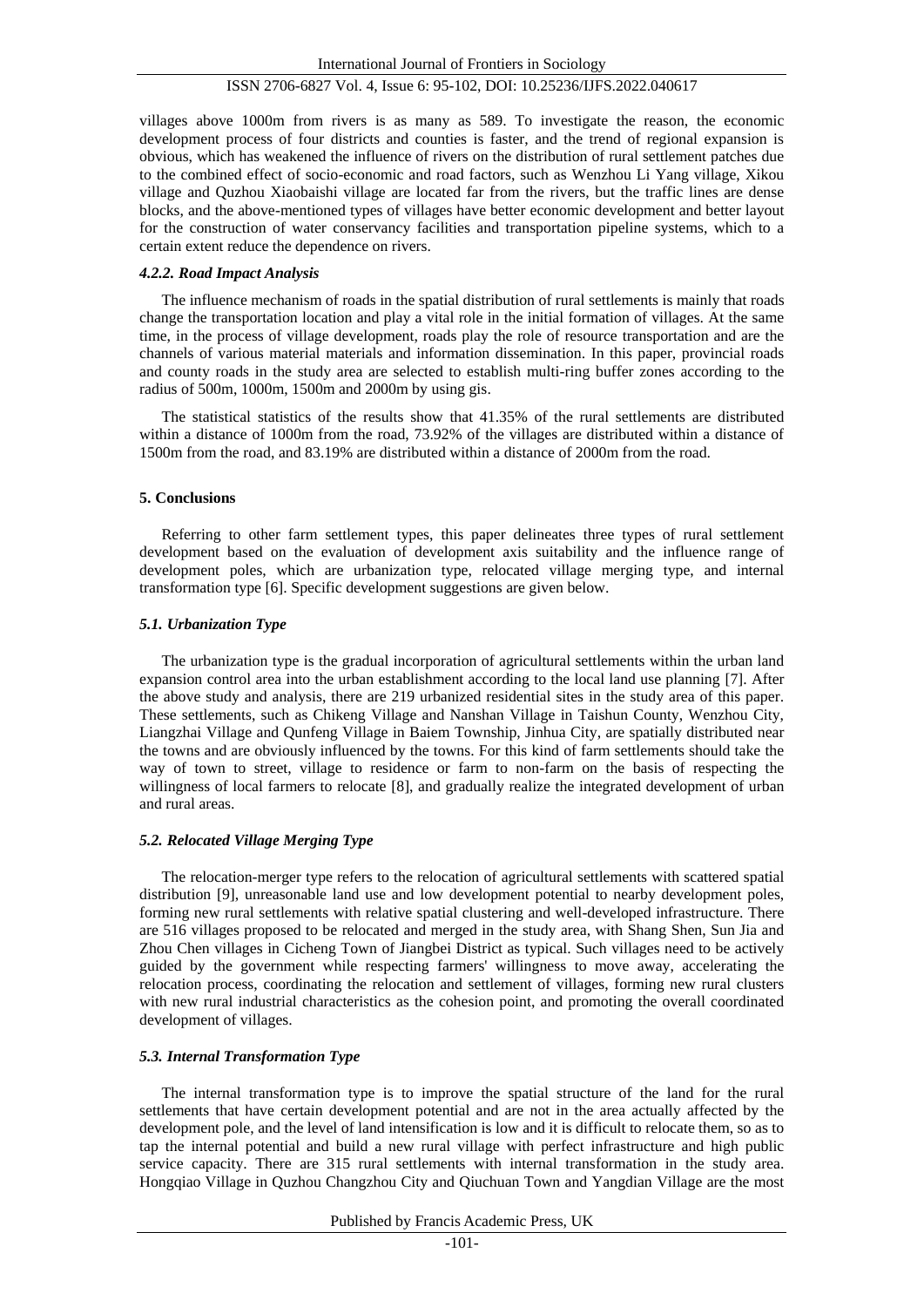villages above 1000m from rivers is as many as 589. To investigate the reason, the economic development process of four districts and counties is faster, and the trend of regional expansion is obvious, which has weakened the influence of rivers on the distribution of rural settlement patches due to the combined effect of socio-economic and road factors, such as Wenzhou Li Yang village, Xikou village and Quzhou Xiaobaishi village are located far from the rivers, but the traffic lines are dense blocks, and the above-mentioned types of villages have better economic development and better layout for the construction of water conservancy facilities and transportation pipeline systems, which to a certain extent reduce the dependence on rivers.

#### *4.2.2. Road Impact Analysis*

The influence mechanism of roads in the spatial distribution of rural settlements is mainly that roads change the transportation location and play a vital role in the initial formation of villages. At the same time, in the process of village development, roads play the role of resource transportation and are the channels of various material materials and information dissemination. In this paper, provincial roads and county roads in the study area are selected to establish multi-ring buffer zones according to the radius of 500m, 1000m, 1500m and 2000m by using gis.

The statistical statistics of the results show that 41.35% of the rural settlements are distributed within a distance of 1000m from the road, 73.92% of the villages are distributed within a distance of 1500m from the road, and 83.19% are distributed within a distance of 2000m from the road.

#### **5. Conclusions**

Referring to other farm settlement types, this paper delineates three types of rural settlement development based on the evaluation of development axis suitability and the influence range of development poles, which are urbanization type, relocated village merging type, and internal transformation type [\[6\].](#page-7-5) Specific development suggestions are given below.

# *5.1. Urbanization Type*

The urbanization type is the gradual incorporation of agricultural settlements within the urban land expansion control area into the urban establishment according to the local land use planning [\[7\].](#page-7-6) After the above study and analysis, there are 219 urbanized residential sites in the study area of this paper. These settlements, such as Chikeng Village and Nanshan Village in Taishun County, Wenzhou City, Liangzhai Village and Qunfeng Village in Baiem Township, Jinhua City, are spatially distributed near the towns and are obviously influenced by the towns. For this kind of farm settlements should take the way of town to street, village to residence or farm to non-farm on the basis of respecting the willingness of local farmers to relocate [\[8\],](#page-7-7) and gradually realize the integrated development of urban and rural areas.

# *5.2. Relocated Village Merging Type*

The relocation-merger type refers to the relocation of agricultural settlements with scattered spatial distribution [\[9\],](#page-7-8) unreasonable land use and low development potential to nearby development poles, forming new rural settlements with relative spatial clustering and well-developed infrastructure. There are 516 villages proposed to be relocated and merged in the study area, with Shang Shen, Sun Jia and Zhou Chen villages in Cicheng Town of Jiangbei District as typical. Such villages need to be actively guided by the government while respecting farmers' willingness to move away, accelerating the relocation process, coordinating the relocation and settlement of villages, forming new rural clusters with new rural industrial characteristics as the cohesion point, and promoting the overall coordinated development of villages.

# *5.3. Internal Transformation Type*

The internal transformation type is to improve the spatial structure of the land for the rural settlements that have certain development potential and are not in the area actually affected by the development pole, and the level of land intensification is low and it is difficult to relocate them, so as to tap the internal potential and build a new rural village with perfect infrastructure and high public service capacity. There are 315 rural settlements with internal transformation in the study area. Hongqiao Village in Quzhou Changzhou City and Qiuchuan Town and Yangdian Village are the most